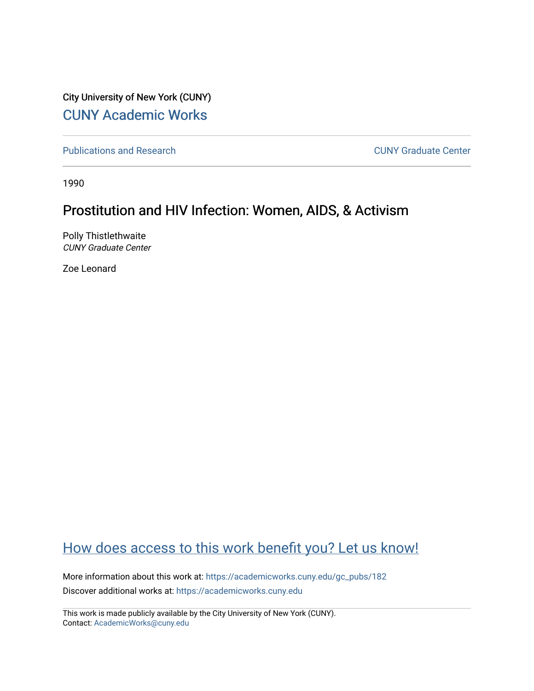City University of New York (CUNY) [CUNY Academic Works](https://academicworks.cuny.edu/) 

[Publications and Research](https://academicworks.cuny.edu/gc_pubs) [CUNY Graduate Center](https://academicworks.cuny.edu/gc) 

1990

# Prostitution and HIV Infection: Women, AIDS, & Activism

Polly Thistlethwaite CUNY Graduate Center

Zoe Leonard

# [How does access to this work benefit you? Let us know!](http://ols.cuny.edu/academicworks/?ref=https://academicworks.cuny.edu/gc_pubs/182)

More information about this work at: [https://academicworks.cuny.edu/gc\\_pubs/182](https://academicworks.cuny.edu/gc_pubs/182) Discover additional works at: [https://academicworks.cuny.edu](https://academicworks.cuny.edu/?)

This work is made publicly available by the City University of New York (CUNY). Contact: [AcademicWorks@cuny.edu](mailto:AcademicWorks@cuny.edu)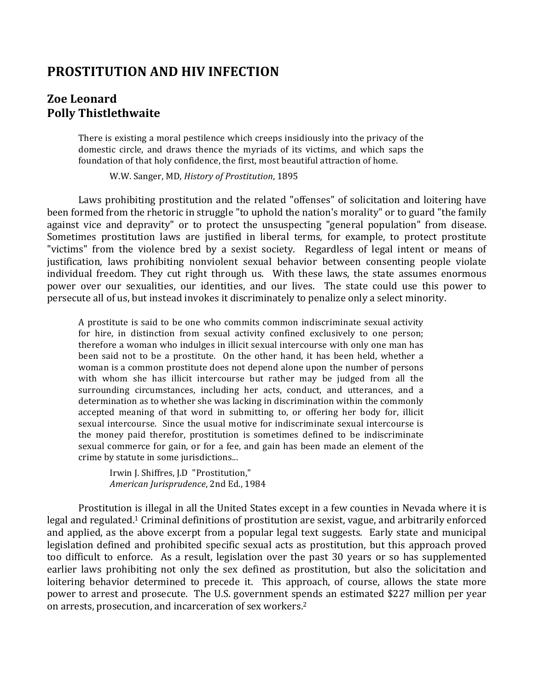# **PROSTITUTION AND HIV INFECTION**

# **Zoe Leonard Polly Thistlethwaite**

There is existing a moral pestilence which creeps insidiously into the privacy of the domestic circle, and draws thence the myriads of its victims, and which saps the foundation of that holy confidence, the first, most beautiful attraction of home.

W.W. Sanger, MD, *History of Prostitution*, 1895

Laws prohibiting prostitution and the related "offenses" of solicitation and loitering have been formed from the rhetoric in struggle "to uphold the nation's morality" or to guard "the family against vice and depravity" or to protect the unsuspecting "general population" from disease. Sometimes prostitution laws are justified in liberal terms, for example, to protect prostitute "victims" from the violence bred by a sexist society. Regardless of legal intent or means of justification, laws prohibiting nonviolent sexual behavior between consenting people violate individual freedom. They cut right through us. With these laws, the state assumes enormous power over our sexualities, our identities, and our lives. The state could use this power to persecute all of us, but instead invokes it discriminately to penalize only a select minority.

A prostitute is said to be one who commits common indiscriminate sexual activity for hire, in distinction from sexual activity confined exclusively to one person; therefore a woman who indulges in illicit sexual intercourse with only one man has been said not to be a prostitute. On the other hand, it has been held, whether a woman is a common prostitute does not depend alone upon the number of persons with whom she has illicit intercourse but rather may be judged from all the surrounding circumstances, including her acts, conduct, and utterances, and a determination as to whether she was lacking in discrimination within the commonly accepted meaning of that word in submitting to, or offering her body for, illicit sexual intercourse. Since the usual motive for indiscriminate sexual intercourse is the money paid therefor, prostitution is sometimes defined to be indiscriminate sexual commerce for gain, or for a fee, and gain has been made an element of the crime by statute in some jurisdictions...

Irwin J. Shiffres, J.D "Prostitution," *American Jurisprudence*, 2nd Ed., 1984 

Prostitution is illegal in all the United States except in a few counties in Nevada where it is legal and regulated.<sup>1</sup> Criminal definitions of prostitution are sexist, vague, and arbitrarily enforced and applied, as the above excerpt from a popular legal text suggests. Early state and municipal legislation defined and prohibited specific sexual acts as prostitution, but this approach proved too difficult to enforce. As a result, legislation over the past 30 years or so has supplemented earlier laws prohibiting not only the sex defined as prostitution, but also the solicitation and loitering behavior determined to precede it. This approach, of course, allows the state more power to arrest and prosecute. The U.S. government spends an estimated \$227 million per year on arrests, prosecution, and incarceration of sex workers.<sup>2</sup>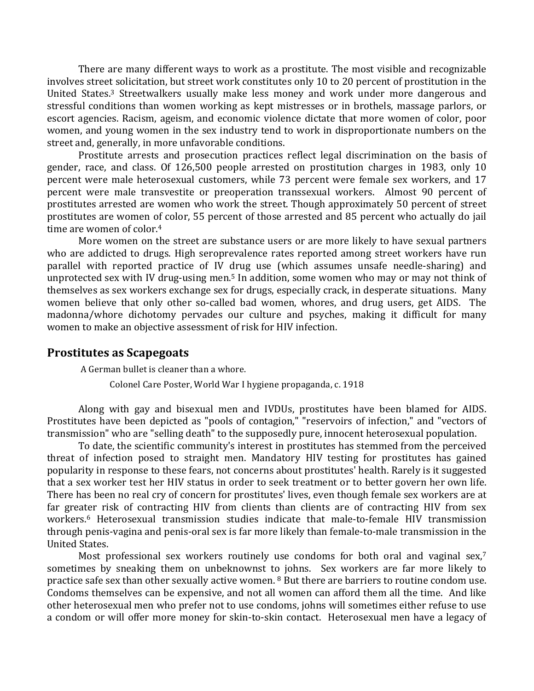There are many different ways to work as a prostitute. The most visible and recognizable involves street solicitation, but street work constitutes only 10 to 20 percent of prostitution in the United States.<sup>3</sup> Streetwalkers usually make less money and work under more dangerous and stressful conditions than women working as kept mistresses or in brothels, massage parlors, or escort agencies. Racism, ageism, and economic violence dictate that more women of color, poor women, and young women in the sex industry tend to work in disproportionate numbers on the street and, generally, in more unfavorable conditions.

Prostitute arrests and prosecution practices reflect legal discrimination on the basis of gender, race, and class. Of 126,500 people arrested on prostitution charges in 1983, only 10 percent were male heterosexual customers, while 73 percent were female sex workers, and 17 percent were male transvestite or preoperation transsexual workers. Almost 90 percent of prostitutes arrested are women who work the street. Though approximately 50 percent of street prostitutes are women of color, 55 percent of those arrested and 85 percent who actually do jail time are women of color. $4$ 

More women on the street are substance users or are more likely to have sexual partners who are addicted to drugs. High seroprevalence rates reported among street workers have run parallel with reported practice of IV drug use (which assumes unsafe needle-sharing) and unprotected sex with IV drug-using men.<sup>5</sup> In addition, some women who may or may not think of themselves as sex workers exchange sex for drugs, especially crack, in desperate situations. Many women believe that only other so-called bad women, whores, and drug users, get AIDS. The madonna/whore dichotomy pervades our culture and psyches, making it difficult for many women to make an objective assessment of risk for HIV infection.

#### **Prostitutes as Scapegoats**

A German bullet is cleaner than a whore.

Colonel Care Poster, World War I hygiene propaganda, c. 1918

Along with gay and bisexual men and IVDUs, prostitutes have been blamed for AIDS. Prostitutes have been depicted as "pools of contagion," "reservoirs of infection," and "vectors of transmission" who are "selling death" to the supposedly pure, innocent heterosexual population.

To date, the scientific community's interest in prostitutes has stemmed from the perceived threat of infection posed to straight men. Mandatory HIV testing for prostitutes has gained popularity in response to these fears, not concerns about prostitutes' health. Rarely is it suggested that a sex worker test her HIV status in order to seek treatment or to better govern her own life. There has been no real cry of concern for prostitutes' lives, even though female sex workers are at far greater risk of contracting HIV from clients than clients are of contracting HIV from sex workers.<sup>6</sup> Heterosexual transmission studies indicate that male-to-female HIV transmission through penis-vagina and penis-oral sex is far more likely than female-to-male transmission in the United States. 

Most professional sex workers routinely use condoms for both oral and vaginal sex,7 sometimes by sneaking them on unbeknownst to johns. Sex workers are far more likely to practice safe sex than other sexually active women. <sup>8</sup> But there are barriers to routine condom use. Condoms themselves can be expensive, and not all women can afford them all the time. And like other heterosexual men who prefer not to use condoms, johns will sometimes either refuse to use a condom or will offer more money for skin-to-skin contact. Heterosexual men have a legacy of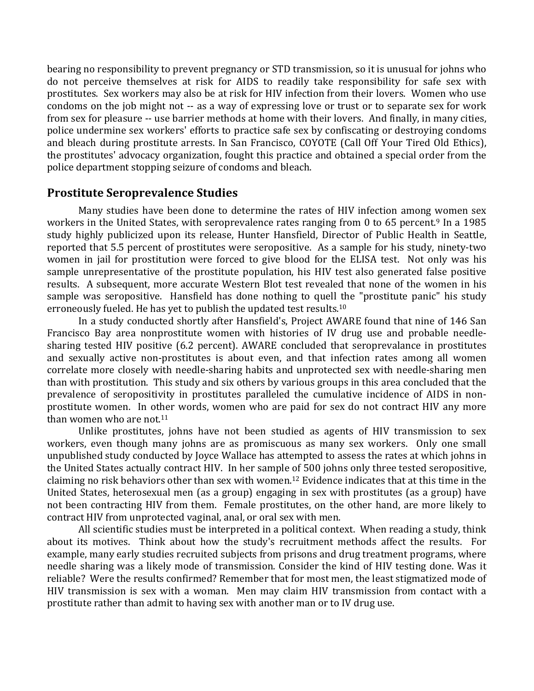bearing no responsibility to prevent pregnancy or STD transmission, so it is unusual for johns who do not perceive themselves at risk for AIDS to readily take responsibility for safe sex with prostitutes. Sex workers may also be at risk for HIV infection from their lovers. Women who use condoms on the job might not -- as a way of expressing love or trust or to separate sex for work from sex for pleasure -- use barrier methods at home with their lovers. And finally, in many cities, police undermine sex workers' efforts to practice safe sex by confiscating or destroying condoms and bleach during prostitute arrests. In San Francisco, COYOTE (Call Off Your Tired Old Ethics), the prostitutes' advocacy organization, fought this practice and obtained a special order from the police department stopping seizure of condoms and bleach.

## **Prostitute Seroprevalence Studies**

Many studies have been done to determine the rates of HIV infection among women sex workers in the United States, with seroprevalence rates ranging from 0 to 65 percent.<sup>9</sup> In a 1985 study highly publicized upon its release, Hunter Hansfield, Director of Public Health in Seattle, reported that 5.5 percent of prostitutes were seropositive. As a sample for his study, ninety-two women in jail for prostitution were forced to give blood for the ELISA test. Not only was his sample unrepresentative of the prostitute population, his HIV test also generated false positive results. A subsequent, more accurate Western Blot test revealed that none of the women in his sample was seropositive. Hansfield has done nothing to quell the "prostitute panic" his study erroneously fueled. He has vet to publish the updated test results.<sup>10</sup>

In a study conducted shortly after Hansfield's, Project AWARE found that nine of 146 San Francisco Bay area nonprostitute women with histories of IV drug use and probable needlesharing tested HIV positive (6.2 percent). AWARE concluded that seroprevalance in prostitutes and sexually active non-prostitutes is about even, and that infection rates among all women correlate more closely with needle-sharing habits and unprotected sex with needle-sharing men than with prostitution. This study and six others by various groups in this area concluded that the prevalence of seropositivity in prostitutes paralleled the cumulative incidence of AIDS in nonprostitute women. In other words, women who are paid for sex do not contract HIV any more than women who are not.<sup>11</sup>

Unlike prostitutes, johns have not been studied as agents of HIV transmission to sex workers, even though many johns are as promiscuous as many sex workers. Only one small unpublished study conducted by Joyce Wallace has attempted to assess the rates at which johns in the United States actually contract HIV. In her sample of 500 johns only three tested seropositive, claiming no risk behaviors other than sex with women.<sup>12</sup> Evidence indicates that at this time in the United States, heterosexual men (as a group) engaging in sex with prostitutes (as a group) have not been contracting HIV from them. Female prostitutes, on the other hand, are more likely to contract HIV from unprotected vaginal, anal, or oral sex with men.

All scientific studies must be interpreted in a political context. When reading a study, think about its motives. Think about how the study's recruitment methods affect the results. For example, many early studies recruited subjects from prisons and drug treatment programs, where needle sharing was a likely mode of transmission. Consider the kind of HIV testing done. Was it reliable? Were the results confirmed? Remember that for most men, the least stigmatized mode of HIV transmission is sex with a woman. Men may claim HIV transmission from contact with a prostitute rather than admit to having sex with another man or to IV drug use.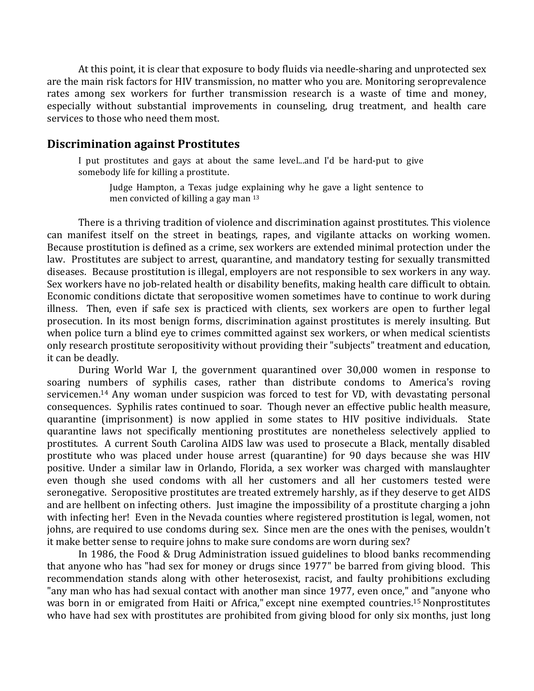At this point, it is clear that exposure to body fluids via needle-sharing and unprotected sex are the main risk factors for HIV transmission, no matter who you are. Monitoring seroprevalence rates among sex workers for further transmission research is a waste of time and money, especially without substantial improvements in counseling, drug treatment, and health care services to those who need them most.

#### **Discrimination against Prostitutes**

I put prostitutes and gays at about the same level...and I'd be hard-put to give somebody life for killing a prostitute.

Judge Hampton, a Texas judge explaining why he gave a light sentence to men convicted of killing a gay man  $13$ 

There is a thriving tradition of violence and discrimination against prostitutes. This violence can manifest itself on the street in beatings, rapes, and vigilante attacks on working women. Because prostitution is defined as a crime, sex workers are extended minimal protection under the law. Prostitutes are subject to arrest, quarantine, and mandatory testing for sexually transmitted diseases. Because prostitution is illegal, employers are not responsible to sex workers in any way. Sex workers have no job-related health or disability benefits, making health care difficult to obtain. Economic conditions dictate that seropositive women sometimes have to continue to work during illness. Then, even if safe sex is practiced with clients, sex workers are open to further legal prosecution. In its most benign forms, discrimination against prostitutes is merely insulting. But when police turn a blind eye to crimes committed against sex workers, or when medical scientists only research prostitute seropositivity without providing their "subjects" treatment and education, it can be deadly.

During World War I, the government quarantined over 30,000 women in response to soaring numbers of syphilis cases, rather than distribute condoms to America's roving servicemen.<sup>14</sup> Any woman under suspicion was forced to test for VD, with devastating personal consequences. Syphilis rates continued to soar. Though never an effective public health measure, quarantine (imprisonment) is now applied in some states to HIV positive individuals. State quarantine laws not specifically mentioning prostitutes are nonetheless selectively applied to prostitutes. A current South Carolina AIDS law was used to prosecute a Black, mentally disabled prostitute who was placed under house arrest (quarantine) for 90 days because she was HIV positive. Under a similar law in Orlando, Florida, a sex worker was charged with manslaughter even though she used condoms with all her customers and all her customers tested were seronegative. Seropositive prostitutes are treated extremely harshly, as if they deserve to get AIDS and are hellbent on infecting others. Just imagine the impossibility of a prostitute charging a john with infecting her! Even in the Nevada counties where registered prostitution is legal, women, not johns, are required to use condoms during sex. Since men are the ones with the penises, wouldn't it make better sense to require johns to make sure condoms are worn during sex?

In 1986, the Food & Drug Administration issued guidelines to blood banks recommending that anyone who has "had sex for money or drugs since 1977" be barred from giving blood. This recommendation stands along with other heterosexist, racist, and faulty prohibitions excluding "any man who has had sexual contact with another man since 1977, even once," and "anyone who was born in or emigrated from Haiti or Africa," except nine exempted countries.<sup>15</sup> Nonprostitutes who have had sex with prostitutes are prohibited from giving blood for only six months, just long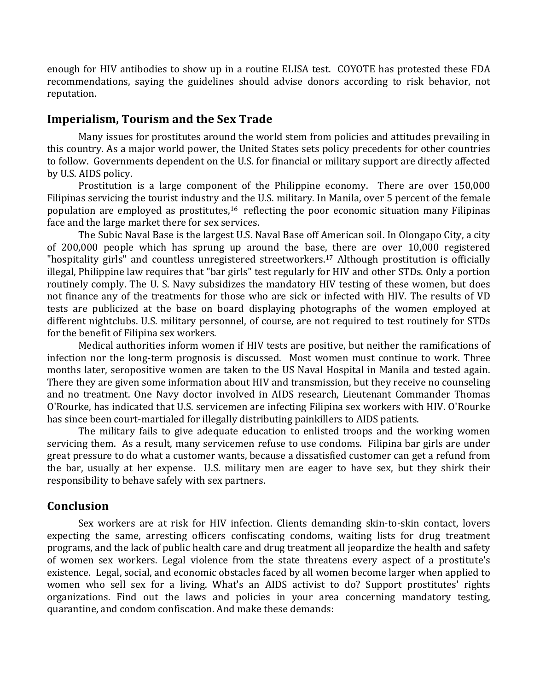enough for HIV antibodies to show up in a routine ELISA test. COYOTE has protested these FDA recommendations, saying the guidelines should advise donors according to risk behavior, not reputation. 

#### **Imperialism, Tourism and the Sex Trade**

Many issues for prostitutes around the world stem from policies and attitudes prevailing in this country. As a major world power, the United States sets policy precedents for other countries to follow. Governments dependent on the U.S. for financial or military support are directly affected by U.S. AIDS policy.

Prostitution is a large component of the Philippine economy. There are over 150,000 Filipinas servicing the tourist industry and the U.S. military. In Manila, over 5 percent of the female population are employed as prostitutes, $16$  reflecting the poor economic situation many Filipinas face and the large market there for sex services.

The Subic Naval Base is the largest U.S. Naval Base off American soil. In Olongapo City, a city of 200,000 people which has sprung up around the base, there are over 10,000 registered "hospitality girls" and countless unregistered streetworkers.<sup>17</sup> Although prostitution is officially illegal, Philippine law requires that "bar girls" test regularly for HIV and other STDs. Only a portion routinely comply. The U. S. Navy subsidizes the mandatory HIV testing of these women, but does not finance any of the treatments for those who are sick or infected with HIV. The results of VD tests are publicized at the base on board displaying photographs of the women employed at different nightclubs. U.S. military personnel, of course, are not required to test routinely for STDs for the benefit of Filipina sex workers.

Medical authorities inform women if HIV tests are positive, but neither the ramifications of infection nor the long-term prognosis is discussed. Most women must continue to work. Three months later, seropositive women are taken to the US Naval Hospital in Manila and tested again. There they are given some information about HIV and transmission, but they receive no counseling and no treatment. One Navy doctor involved in AIDS research, Lieutenant Commander Thomas O'Rourke, has indicated that U.S. servicemen are infecting Filipina sex workers with HIV. O'Rourke has since been court-martialed for illegally distributing painkillers to AIDS patients.

The military fails to give adequate education to enlisted troops and the working women servicing them. As a result, many servicemen refuse to use condoms. Filipina bar girls are under great pressure to do what a customer wants, because a dissatisfied customer can get a refund from the bar, usually at her expense. U.S. military men are eager to have sex, but they shirk their responsibility to behave safely with sex partners.

## **Conclusion**

Sex workers are at risk for HIV infection. Clients demanding skin-to-skin contact, lovers expecting the same, arresting officers confiscating condoms, waiting lists for drug treatment programs, and the lack of public health care and drug treatment all jeopardize the health and safety of women sex workers. Legal violence from the state threatens every aspect of a prostitute's existence. Legal, social, and economic obstacles faced by all women become larger when applied to women who sell sex for a living. What's an AIDS activist to do? Support prostitutes' rights organizations. Find out the laws and policies in your area concerning mandatory testing, quarantine, and condom confiscation. And make these demands: